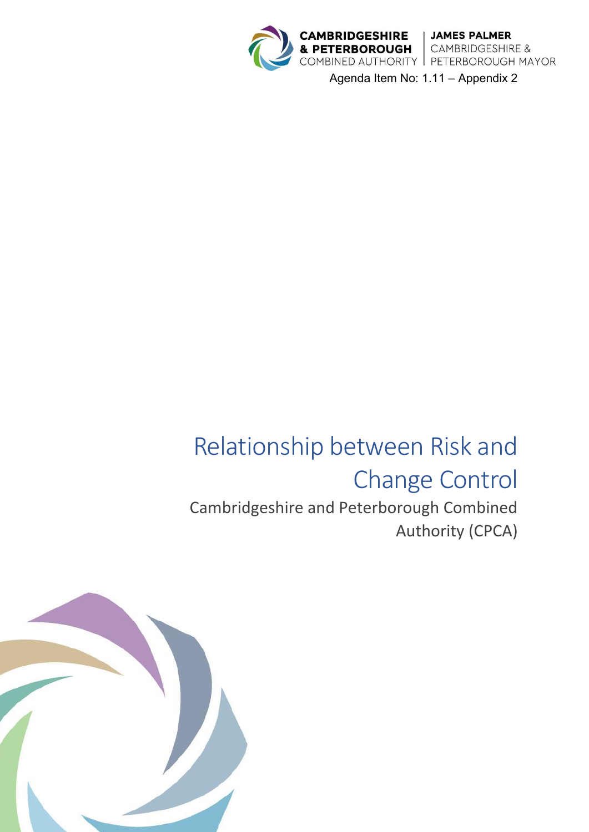

Agenda Item No: 1.11 – Appendix 2

# Relationship between Risk and Change Control Cambridgeshire and Peterborough Combined Authority (CPCA)

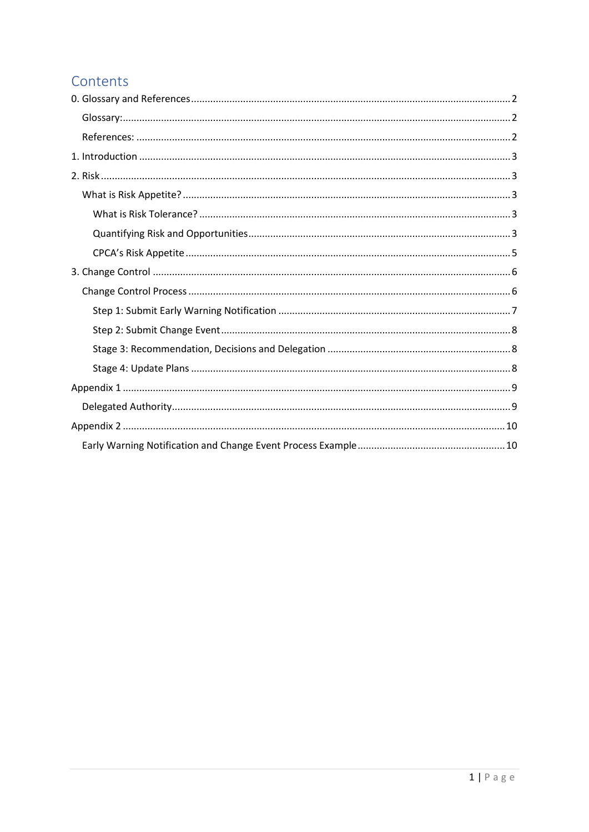# Contents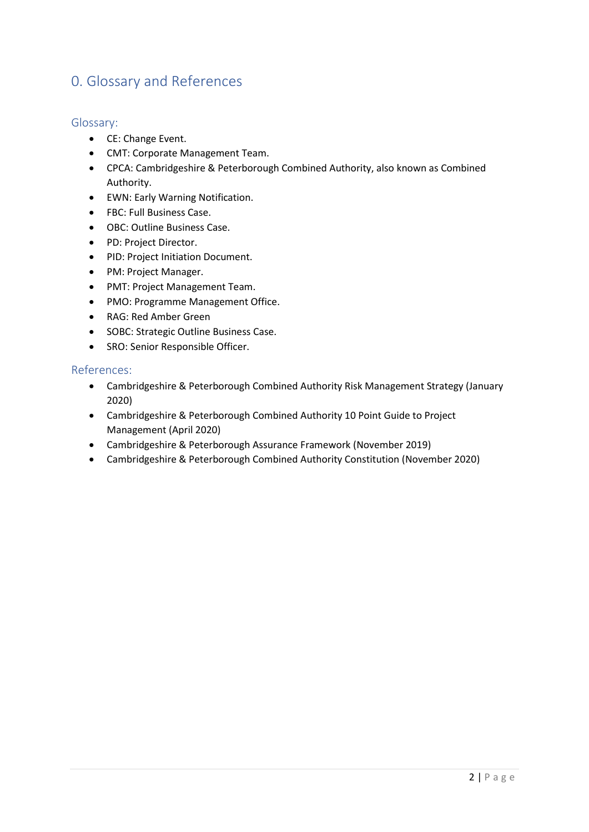# <span id="page-2-0"></span>0. Glossary and References

### <span id="page-2-1"></span>Glossary:

- CE: Change Event.
- CMT: Corporate Management Team.
- CPCA: Cambridgeshire & Peterborough Combined Authority, also known as Combined Authority.
- EWN: Early Warning Notification.
- FBC: Full Business Case.
- OBC: Outline Business Case.
- PD: Project Director.
- PID: Project Initiation Document.
- PM: Project Manager.
- PMT: Project Management Team.
- PMO: Programme Management Office.
- RAG: Red Amber Green
- SOBC: Strategic Outline Business Case.
- SRO: Senior Responsible Officer.

#### <span id="page-2-2"></span>References:

- Cambridgeshire & Peterborough Combined Authority Risk Management Strategy (January 2020)
- Cambridgeshire & Peterborough Combined Authority 10 Point Guide to Project Management (April 2020)
- Cambridgeshire & Peterborough Assurance Framework (November 2019)
- Cambridgeshire & Peterborough Combined Authority Constitution (November 2020)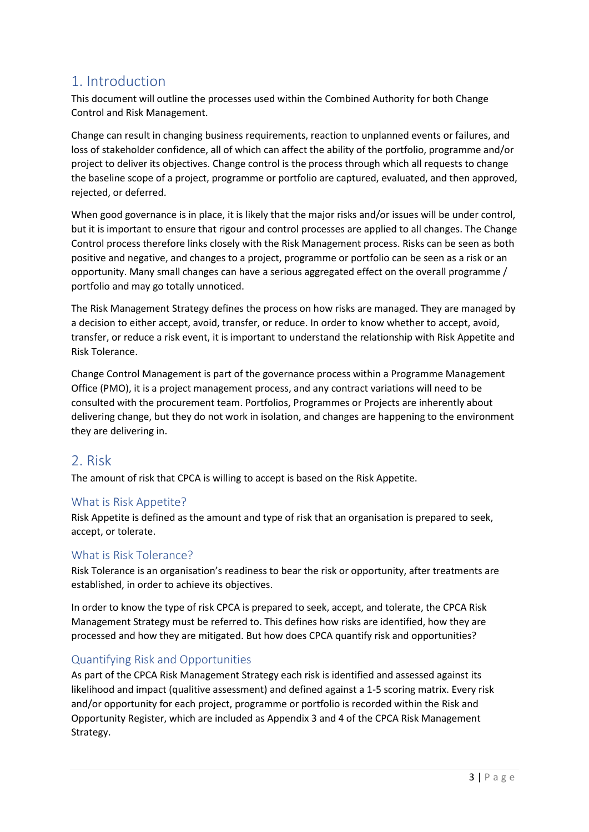# <span id="page-3-0"></span>1. Introduction

This document will outline the processes used within the Combined Authority for both Change Control and Risk Management.

Change can result in changing business requirements, reaction to unplanned events or failures, and loss of stakeholder confidence, all of which can affect the ability of the portfolio, programme and/or project to deliver its objectives. Change control is the process through which all requests to change the baseline scope of a project, programme or portfolio are captured, evaluated, and then approved, rejected, or deferred.

When good governance is in place, it is likely that the major risks and/or issues will be under control, but it is important to ensure that rigour and control processes are applied to all changes. The Change Control process therefore links closely with the Risk Management process. Risks can be seen as both positive and negative, and changes to a project, programme or portfolio can be seen as a risk or an opportunity. Many small changes can have a serious aggregated effect on the overall programme / portfolio and may go totally unnoticed.

The Risk Management Strategy defines the process on how risks are managed. They are managed by a decision to either accept, avoid, transfer, or reduce. In order to know whether to accept, avoid, transfer, or reduce a risk event, it is important to understand the relationship with Risk Appetite and Risk Tolerance.

Change Control Management is part of the governance process within a Programme Management Office (PMO), it is a project management process, and any contract variations will need to be consulted with the procurement team. Portfolios, Programmes or Projects are inherently about delivering change, but they do not work in isolation, and changes are happening to the environment they are delivering in.

# <span id="page-3-1"></span>2. Risk

The amount of risk that CPCA is willing to accept is based on the Risk Appetite.

## <span id="page-3-2"></span>What is Risk Appetite?

Risk Appetite is defined as the amount and type of risk that an organisation is prepared to seek, accept, or tolerate.

## <span id="page-3-3"></span>What is Risk Tolerance?

Risk Tolerance is an organisation's readiness to bear the risk or opportunity, after treatments are established, in order to achieve its objectives.

In order to know the type of risk CPCA is prepared to seek, accept, and tolerate, the CPCA Risk Management Strategy must be referred to. This defines how risks are identified, how they are processed and how they are mitigated. But how does CPCA quantify risk and opportunities?

## <span id="page-3-4"></span>Quantifying Risk and Opportunities

As part of the CPCA Risk Management Strategy each risk is identified and assessed against its likelihood and impact (qualitive assessment) and defined against a 1-5 scoring matrix. Every risk and/or opportunity for each project, programme or portfolio is recorded within the Risk and Opportunity Register, which are included as Appendix 3 and 4 of the CPCA Risk Management Strategy.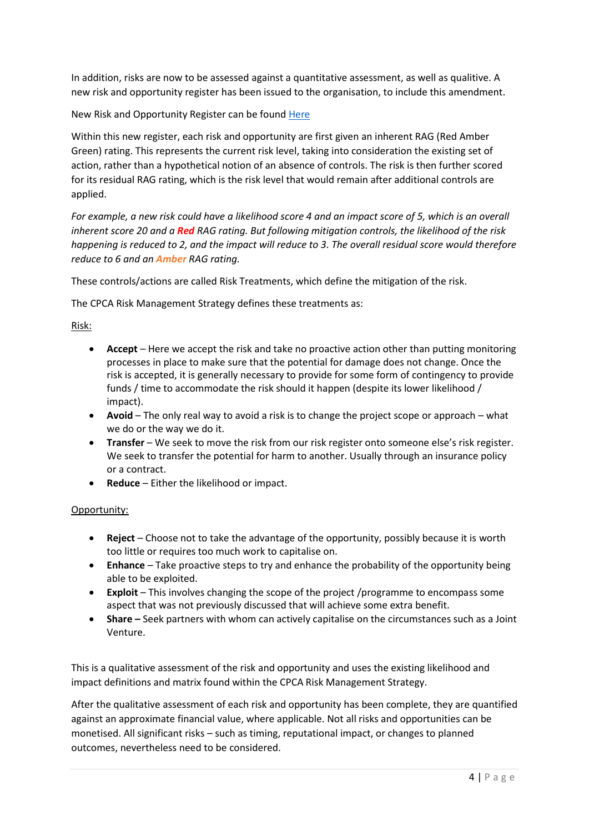In addition, risks are now to be assessed against a quantitative assessment, as well as qualitive. A new risk and opportunity register has been issued to the organisation, to include this amendment.

New Risk and Opportunity Register can be found [Here](https://cambridgeshirepeterborough.sharepoint.com/:x:/r/sites/CPCATeamSite/Shared%20Documents/Portfolio%20Workstreams/Risk%20Management/Risk/Change%20Control/Risk%20and%20Opportunity%20Log.xlsx?d=w0bcc0fb52ec14b688611c9263da495c2&csf=1&web=1&e=6HZGKL)

Within this new register, each risk and opportunity are first given an inherent RAG (Red Amber Green) rating. This represents the current risk level, taking into consideration the existing set of action, rather than a hypothetical notion of an absence of controls. The risk is then further scored for its residual RAG rating, which is the risk level that would remain after additional controls are applied.

*For example, a new risk could have a likelihood score 4 and an impact score of 5, which is an overall inherent score 20 and a Red RAG rating. But following mitigation controls, the likelihood of the risk happening is reduced to 2, and the impact will reduce to 3. The overall residual score would therefore reduce to 6 and an Amber RAG rating.*

These controls/actions are called Risk Treatments, which define the mitigation of the risk.

The CPCA Risk Management Strategy defines these treatments as:

Risk:

- **Accept**  Here we accept the risk and take no proactive action other than putting monitoring processes in place to make sure that the potential for damage does not change. Once the risk is accepted, it is generally necessary to provide for some form of contingency to provide funds / time to accommodate the risk should it happen (despite its lower likelihood / impact).
- **Avoid**  The only real way to avoid a risk is to change the project scope or approach what we do or the way we do it.
- **Transfer** We seek to move the risk from our risk register onto someone else's risk register. We seek to transfer the potential for harm to another. Usually through an insurance policy or a contract.
- **Reduce**  Either the likelihood or impact.

Opportunity:

- **Reject**  Choose not to take the advantage of the opportunity, possibly because it is worth too little or requires too much work to capitalise on.
- **Enhance**  Take proactive steps to try and enhance the probability of the opportunity being able to be exploited.
- **Exploit**  This involves changing the scope of the project /programme to encompass some aspect that was not previously discussed that will achieve some extra benefit.
- **Share –** Seek partners with whom can actively capitalise on the circumstances such as a Joint Venture.

This is a qualitative assessment of the risk and opportunity and uses the existing likelihood and impact definitions and matrix found within the CPCA Risk Management Strategy.

After the qualitative assessment of each risk and opportunity has been complete, they are quantified against an approximate financial value, where applicable. Not all risks and opportunities can be monetised. All significant risks – such as timing, reputational impact, or changes to planned outcomes, nevertheless need to be considered.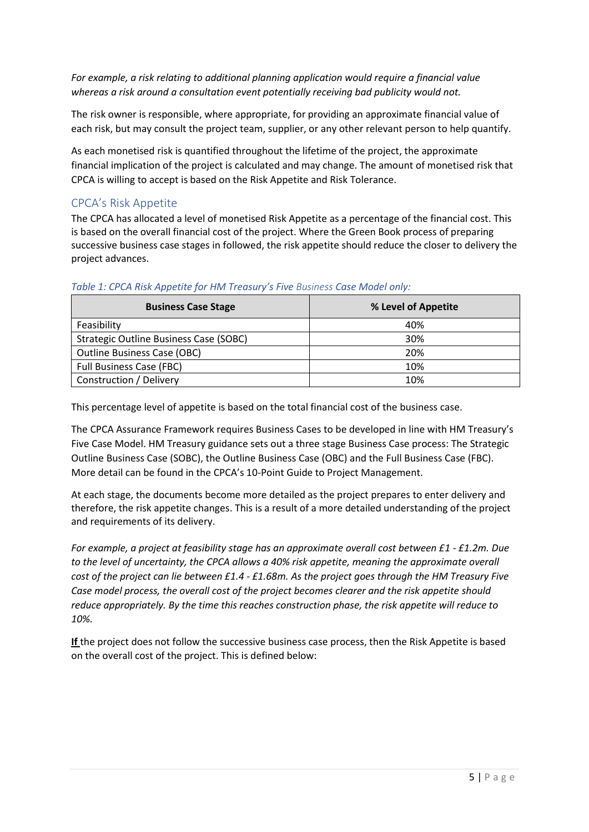*For example, a risk relating to additional planning application would require a financial value whereas a risk around a consultation event potentially receiving bad publicity would not.* 

The risk owner is responsible, where appropriate, for providing an approximate financial value of each risk, but may consult the project team, supplier, or any other relevant person to help quantify.

As each monetised risk is quantified throughout the lifetime of the project, the approximate financial implication of the project is calculated and may change. The amount of monetised risk that CPCA is willing to accept is based on the Risk Appetite and Risk Tolerance.

# <span id="page-5-0"></span>CPCA's Risk Appetite

The CPCA has allocated a level of monetised Risk Appetite as a percentage of the financial cost. This is based on the overall financial cost of the project. Where the Green Book process of preparing successive business case stages in followed, the risk appetite should reduce the closer to delivery the project advances.

| <b>Business Case Stage</b>             | % Level of Appetite |
|----------------------------------------|---------------------|
| Feasibility                            | 40%                 |
| Strategic Outline Business Case (SOBC) | 30%                 |
| <b>Outline Business Case (OBC)</b>     | 20%                 |
| <b>Full Business Case (FBC)</b>        | 10%                 |
| Construction / Delivery                | 10%                 |

#### *Table 1: CPCA Risk Appetite for HM Treasury's Five Business Case Model only:*

This percentage level of appetite is based on the total financial cost of the business case.

The CPCA Assurance Framework requires Business Cases to be developed in line with HM Treasury's Five Case Model. HM Treasury guidance sets out a three stage Business Case process: The Strategic Outline Business Case (SOBC), the Outline Business Case (OBC) and the Full Business Case (FBC). More detail can be found in the CPCA's 10-Point Guide to Project Management.

At each stage, the documents become more detailed as the project prepares to enter delivery and therefore, the risk appetite changes. This is a result of a more detailed understanding of the project and requirements of its delivery.

*For example, a project at feasibility stage has an approximate overall cost between £1 - £1.2m. Due to the level of uncertainty, the CPCA allows a 40% risk appetite, meaning the approximate overall cost of the project can lie between £1.4 - £1.68m. As the project goes through the HM Treasury Five Case model process, the overall cost of the project becomes clearer and the risk appetite should reduce appropriately. By the time this reaches construction phase, the risk appetite will reduce to 10%.* 

**If** the project does not follow the successive business case process, then the Risk Appetite is based on the overall cost of the project. This is defined below: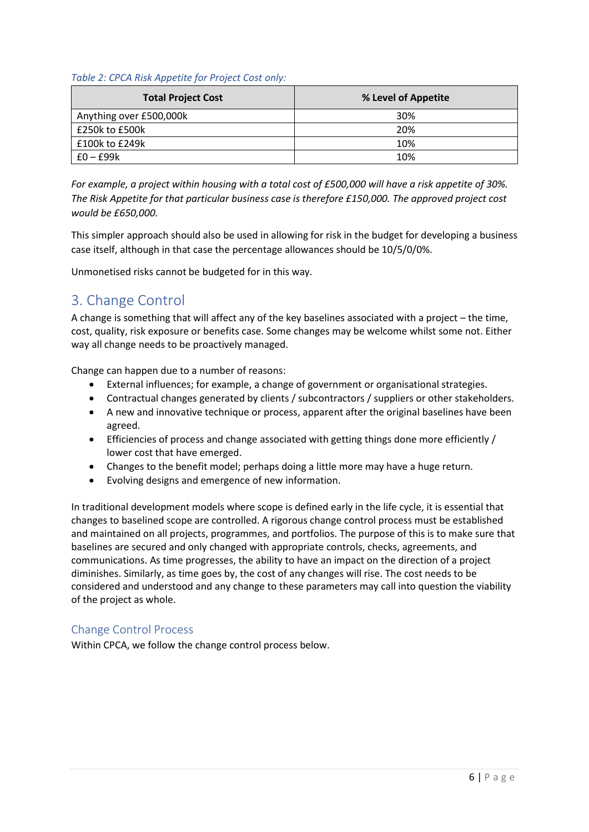#### *Table 2: CPCA Risk Appetite for Project Cost only:*

| <b>Total Project Cost</b> | % Level of Appetite |
|---------------------------|---------------------|
| Anything over £500,000k   | 30%                 |
| £250k to £500k            | 20%                 |
| £100k to £249k            | 10%                 |
| $f0 - f99k$               | 10%                 |

*For example, a project within housing with a total cost of £500,000 will have a risk appetite of 30%. The Risk Appetite for that particular business case is therefore £150,000. The approved project cost would be £650,000.* 

This simpler approach should also be used in allowing for risk in the budget for developing a business case itself, although in that case the percentage allowances should be 10/5/0/0%.

<span id="page-6-0"></span>Unmonetised risks cannot be budgeted for in this way.

# 3. Change Control

A change is something that will affect any of the key baselines associated with a project – the time, cost, quality, risk exposure or benefits case. Some changes may be welcome whilst some not. Either way all change needs to be proactively managed.

Change can happen due to a number of reasons:

- External influences; for example, a change of government or organisational strategies.
- Contractual changes generated by clients / subcontractors / suppliers or other stakeholders.
- A new and innovative technique or process, apparent after the original baselines have been agreed.
- Efficiencies of process and change associated with getting things done more efficiently / lower cost that have emerged.
- Changes to the benefit model; perhaps doing a little more may have a huge return.
- Evolving designs and emergence of new information.

In traditional development models where scope is defined early in the life cycle, it is essential that changes to baselined scope are controlled. A rigorous change control process must be established and maintained on all projects, programmes, and portfolios. The purpose of this is to make sure that baselines are secured and only changed with appropriate controls, checks, agreements, and communications. As time progresses, the ability to have an impact on the direction of a project diminishes. Similarly, as time goes by, the cost of any changes will rise. The cost needs to be considered and understood and any change to these parameters may call into question the viability of the project as whole.

## <span id="page-6-1"></span>Change Control Process

Within CPCA, we follow the change control process below.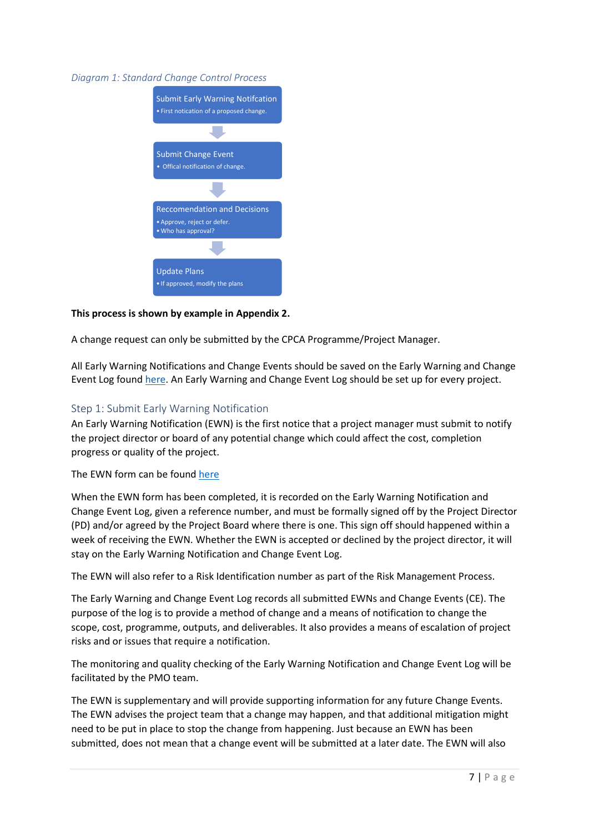#### *Diagram 1: Standard Change Control Process*



### **This process is shown by example in Appendix 2.**

A change request can only be submitted by the CPCA Programme/Project Manager.

All Early Warning Notifications and Change Events should be saved on the Early Warning and Change Event Log found [here.](https://cambridgeshirepeterborough.sharepoint.com/:x:/r/sites/CPCATeamSite/Shared%20Documents/Portfolio%20Workstreams/Risk%20Management/Risk/Change%20Control/Early%20Warning%20and%20Change%20Event%20Log%20v1.xlsx?d=wbc0e56fd66cf4f959fd5997c10ad6f30&csf=1&web=1&e=8qKcRe) An Early Warning and Change Event Log should be set up for every project.

### <span id="page-7-0"></span>Step 1: Submit Early Warning Notification

An Early Warning Notification (EWN) is the first notice that a project manager must submit to notify the project director or board of any potential change which could affect the cost, completion progress or quality of the project.

#### The EWN form can be found [here](https://cambridgeshirepeterborough.sharepoint.com/:x:/r/sites/CPCATeamSite/Shared%20Documents/Portfolio%20Workstreams/Risk%20Management/Risk/Change%20Control/EWN%20Template.xlsx?d=wf7405c09bb4f4e3fb8c89c494ab3236b&csf=1&web=1&e=DtCit8)

When the EWN form has been completed, it is recorded on the Early Warning Notification and Change Event Log, given a reference number, and must be formally signed off by the Project Director (PD) and/or agreed by the Project Board where there is one. This sign off should happened within a week of receiving the EWN. Whether the EWN is accepted or declined by the project director, it will stay on the Early Warning Notification and Change Event Log.

The EWN will also refer to a Risk Identification number as part of the Risk Management Process.

The Early Warning and Change Event Log records all submitted EWNs and Change Events (CE). The purpose of the log is to provide a method of change and a means of notification to change the scope, cost, programme, outputs, and deliverables. It also provides a means of escalation of project risks and or issues that require a notification.

The monitoring and quality checking of the Early Warning Notification and Change Event Log will be facilitated by the PMO team.

The EWN is supplementary and will provide supporting information for any future Change Events. The EWN advises the project team that a change may happen, and that additional mitigation might need to be put in place to stop the change from happening. Just because an EWN has been submitted, does not mean that a change event will be submitted at a later date. The EWN will also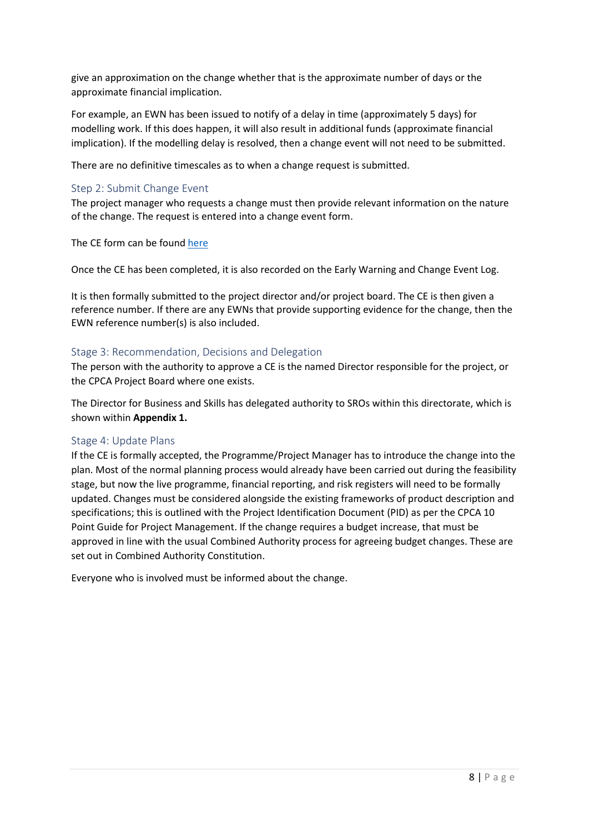give an approximation on the change whether that is the approximate number of days or the approximate financial implication.

For example, an EWN has been issued to notify of a delay in time (approximately 5 days) for modelling work. If this does happen, it will also result in additional funds (approximate financial implication). If the modelling delay is resolved, then a change event will not need to be submitted.

There are no definitive timescales as to when a change request is submitted.

### <span id="page-8-0"></span>Step 2: Submit Change Event

The project manager who requests a change must then provide relevant information on the nature of the change. The request is entered into a change event form.

The CE form can be found [here](https://cambridgeshirepeterborough.sharepoint.com/:x:/r/sites/CPCATeamSite/Shared%20Documents/Portfolio%20Workstreams/Risk%20Management/Risk/Change%20Control/CE%20Template.xlsx?d=w333002f47a724b0dba157823e359dc00&csf=1&web=1&e=loWsfa)

Once the CE has been completed, it is also recorded on the Early Warning and Change Event Log.

It is then formally submitted to the project director and/or project board. The CE is then given a reference number. If there are any EWNs that provide supporting evidence for the change, then the EWN reference number(s) is also included.

### <span id="page-8-1"></span>Stage 3: Recommendation, Decisions and Delegation

The person with the authority to approve a CE is the named Director responsible for the project, or the CPCA Project Board where one exists.

The Director for Business and Skills has delegated authority to SROs within this directorate, which is shown within **Appendix 1.** 

### <span id="page-8-2"></span>Stage 4: Update Plans

If the CE is formally accepted, the Programme/Project Manager has to introduce the change into the plan. Most of the normal planning process would already have been carried out during the feasibility stage, but now the live programme, financial reporting, and risk registers will need to be formally updated. Changes must be considered alongside the existing frameworks of product description and specifications; this is outlined with the Project Identification Document (PID) as per the CPCA 10 Point Guide for Project Management. If the change requires a budget increase, that must be approved in line with the usual Combined Authority process for agreeing budget changes. These are set out in Combined Authority Constitution.

Everyone who is involved must be informed about the change.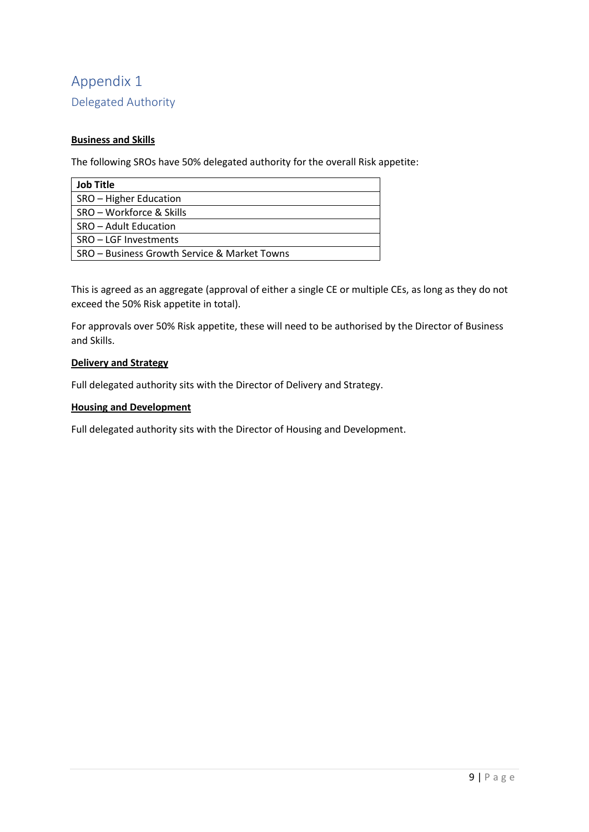# <span id="page-9-1"></span><span id="page-9-0"></span>Appendix 1 Delegated Authority

### **Business and Skills**

The following SROs have 50% delegated authority for the overall Risk appetite:

| <b>Job Title</b>                             |
|----------------------------------------------|
| SRO - Higher Education                       |
| SRO – Workforce & Skills                     |
| SRO – Adult Education                        |
| SRO - LGF Investments                        |
| SRO – Business Growth Service & Market Towns |

This is agreed as an aggregate (approval of either a single CE or multiple CEs, as long as they do not exceed the 50% Risk appetite in total).

For approvals over 50% Risk appetite, these will need to be authorised by the Director of Business and Skills.

#### **Delivery and Strategy**

Full delegated authority sits with the Director of Delivery and Strategy.

### **Housing and Development**

Full delegated authority sits with the Director of Housing and Development.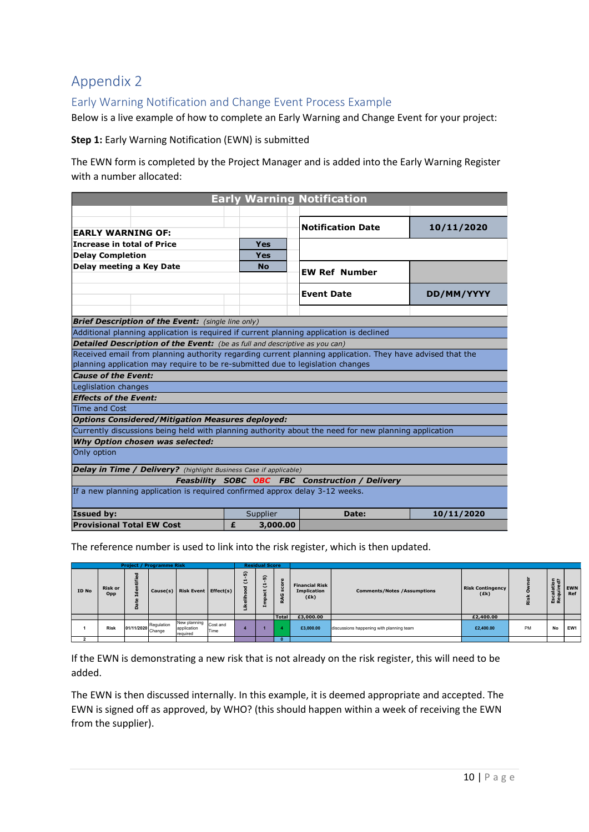# <span id="page-10-0"></span>Appendix 2

# <span id="page-10-1"></span>Early Warning Notification and Change Event Process Example

Below is a live example of how to complete an Early Warning and Change Event for your project:

#### **Step 1:** Early Warning Notification (EWN) is submitted

The EWN form is completed by the Project Manager and is added into the Early Warning Register with a number allocated:

| <b>Early Warning Notification</b>                                                                         |               |                                                        |            |  |  |  |  |  |  |  |  |  |
|-----------------------------------------------------------------------------------------------------------|---------------|--------------------------------------------------------|------------|--|--|--|--|--|--|--|--|--|
|                                                                                                           |               |                                                        |            |  |  |  |  |  |  |  |  |  |
|                                                                                                           |               | <b>Notification Date</b>                               | 10/11/2020 |  |  |  |  |  |  |  |  |  |
| <b>EARLY WARNING OF:</b>                                                                                  |               |                                                        |            |  |  |  |  |  |  |  |  |  |
| Increase in total of Price                                                                                | <b>Yes</b>    |                                                        |            |  |  |  |  |  |  |  |  |  |
| <b>Delay Completion</b>                                                                                   | <b>Yes</b>    |                                                        |            |  |  |  |  |  |  |  |  |  |
| Delay meeting a Key Date                                                                                  | <b>No</b>     | <b>EW Ref Number</b>                                   |            |  |  |  |  |  |  |  |  |  |
|                                                                                                           |               | <b>Event Date</b>                                      |            |  |  |  |  |  |  |  |  |  |
|                                                                                                           |               |                                                        | DD/MM/YYYY |  |  |  |  |  |  |  |  |  |
|                                                                                                           |               |                                                        |            |  |  |  |  |  |  |  |  |  |
| <b>Brief Description of the Event:</b> (single line only)                                                 |               |                                                        |            |  |  |  |  |  |  |  |  |  |
| Additional planning application is required if current planning application is declined                   |               |                                                        |            |  |  |  |  |  |  |  |  |  |
| Detailed Description of the Event: (be as full and descriptive as you can)                                |               |                                                        |            |  |  |  |  |  |  |  |  |  |
| Received email from planning authority regarding current planning application. They have advised that the |               |                                                        |            |  |  |  |  |  |  |  |  |  |
| planning application may require to be re-submitted due to legislation changes                            |               |                                                        |            |  |  |  |  |  |  |  |  |  |
| <b>Cause of the Event:</b>                                                                                |               |                                                        |            |  |  |  |  |  |  |  |  |  |
| Leglislation changes                                                                                      |               |                                                        |            |  |  |  |  |  |  |  |  |  |
| <b>Effects of the Event:</b>                                                                              |               |                                                        |            |  |  |  |  |  |  |  |  |  |
| Time and Cost                                                                                             |               |                                                        |            |  |  |  |  |  |  |  |  |  |
| <b>Options Considered/Mitigation Measures deployed:</b>                                                   |               |                                                        |            |  |  |  |  |  |  |  |  |  |
| Currently discussions being held with planning authority about the need for new planning application      |               |                                                        |            |  |  |  |  |  |  |  |  |  |
| Why Option chosen was selected:                                                                           |               |                                                        |            |  |  |  |  |  |  |  |  |  |
| Only option                                                                                               |               |                                                        |            |  |  |  |  |  |  |  |  |  |
| <b>Delay in Time / Delivery?</b> (highlight Business Case if applicable)                                  |               |                                                        |            |  |  |  |  |  |  |  |  |  |
|                                                                                                           |               | <b>Feasbility SOBC OBC FBC Construction / Delivery</b> |            |  |  |  |  |  |  |  |  |  |
| If a new planning application is required confirmed approx delay 3-12 weeks.                              |               |                                                        |            |  |  |  |  |  |  |  |  |  |
| <b>Issued by:</b>                                                                                         | Supplier      | Date:                                                  | 10/11/2020 |  |  |  |  |  |  |  |  |  |
| <b>Provisional Total EW Cost</b>                                                                          | 3,000.00<br>£ |                                                        |            |  |  |  |  |  |  |  |  |  |

The reference number is used to link into the risk register, which is then updated.

|       |                       |                | <b>Project / Programme Risk</b> |                                         |                  |                       | <b>Residual Score</b>              |              |                                                     |                                          |                                 |    |                                                               |                   |
|-------|-----------------------|----------------|---------------------------------|-----------------------------------------|------------------|-----------------------|------------------------------------|--------------|-----------------------------------------------------|------------------------------------------|---------------------------------|----|---------------------------------------------------------------|-------------------|
| ID No | <b>Risk or</b><br>Opp | ਾੜ⊧.<br>æ<br>ó |                                 | Cause(s) Risk Event   Effect(s)         |                  | ົ<br>۳<br>ٮ<br>÷<br>≔ | ត<br>ರ<br>مد<br><u>ت</u><br>≘<br>Ε |              | <b>Financial Risk</b><br><b>Implication</b><br>(Ek) | <b>Comments/Notes /Assumptions</b>       | <b>Risk Contingency</b><br>(Ek) |    | $E$ <sup><math>A</math></sup><br>ਰਚ<br>∸<br>÷<br>Ħ<br>ö<br>ᄱᆴ | <b>EWN</b><br>Ref |
|       |                       |                |                                 |                                         |                  |                       |                                    | <b>Total</b> | £3,000.00                                           |                                          | £2,400.00                       |    |                                                               |                   |
|       | <b>Risk</b>           |                | 01/11/2020 Regulation           | New planning<br>application<br>required | Cost and<br>Time |                       |                                    |              | £3,000.00                                           | discussions happening with planning team | £2,400.00                       | PM | <b>No</b>                                                     | EW1               |
|       |                       |                |                                 |                                         |                  |                       |                                    |              |                                                     |                                          |                                 |    |                                                               |                   |

If the EWN is demonstrating a new risk that is not already on the risk register, this will need to be added.

The EWN is then discussed internally. In this example, it is deemed appropriate and accepted. The EWN is signed off as approved, by WHO? (this should happen within a week of receiving the EWN from the supplier).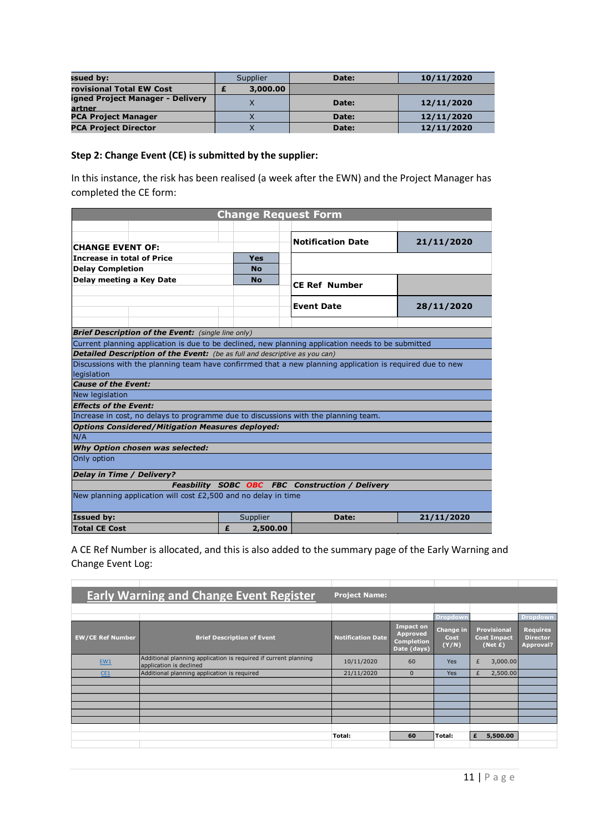| ssued by:                                  | Supplier | Date: | 10/11/2020 |  |  |  |
|--------------------------------------------|----------|-------|------------|--|--|--|
| rovisional Total EW Cost                   | 3,000.00 |       |            |  |  |  |
| igned Project Manager - Delivery<br>artner |          | Date: | 12/11/2020 |  |  |  |
| <b>PCA Project Manager</b>                 |          | Date: | 12/11/2020 |  |  |  |
| <b>PCA Project Director</b>                |          | Date: | 12/11/2020 |  |  |  |

#### **Step 2: Change Event (CE) is submitted by the supplier:**

In this instance, the risk has been realised (a week after the EWN) and the Project Manager has completed the CE form:

| <b>Change Request Form</b>                                                                                |                                                                |                                                        |            |  |  |  |  |  |  |  |  |  |
|-----------------------------------------------------------------------------------------------------------|----------------------------------------------------------------|--------------------------------------------------------|------------|--|--|--|--|--|--|--|--|--|
|                                                                                                           |                                                                |                                                        |            |  |  |  |  |  |  |  |  |  |
|                                                                                                           |                                                                | <b>Notification Date</b>                               | 21/11/2020 |  |  |  |  |  |  |  |  |  |
| <b>CHANGE EVENT OF:</b>                                                                                   |                                                                |                                                        |            |  |  |  |  |  |  |  |  |  |
| <b>Increase in total of Price</b>                                                                         | Yes                                                            |                                                        |            |  |  |  |  |  |  |  |  |  |
| <b>Delay Completion</b>                                                                                   | <b>No</b>                                                      |                                                        |            |  |  |  |  |  |  |  |  |  |
| Delay meeting a Key Date                                                                                  | <b>No</b>                                                      | <b>CE Ref Number</b>                                   |            |  |  |  |  |  |  |  |  |  |
|                                                                                                           |                                                                |                                                        |            |  |  |  |  |  |  |  |  |  |
|                                                                                                           |                                                                | <b>Event Date</b>                                      | 28/11/2020 |  |  |  |  |  |  |  |  |  |
|                                                                                                           |                                                                |                                                        |            |  |  |  |  |  |  |  |  |  |
| <b>Brief Description of the Event:</b> (single line only)                                                 |                                                                |                                                        |            |  |  |  |  |  |  |  |  |  |
| Current planning application is due to be declined, new planning application needs to be submitted        |                                                                |                                                        |            |  |  |  |  |  |  |  |  |  |
| Detailed Description of the Event: (be as full and descriptive as you can)                                |                                                                |                                                        |            |  |  |  |  |  |  |  |  |  |
| Discussions with the planning team have confirrmed that a new planning application is required due to new |                                                                |                                                        |            |  |  |  |  |  |  |  |  |  |
| legislation                                                                                               |                                                                |                                                        |            |  |  |  |  |  |  |  |  |  |
| <b>Cause of the Event:</b>                                                                                |                                                                |                                                        |            |  |  |  |  |  |  |  |  |  |
| <b>New legislation</b>                                                                                    |                                                                |                                                        |            |  |  |  |  |  |  |  |  |  |
| <b>Effects of the Event:</b>                                                                              |                                                                |                                                        |            |  |  |  |  |  |  |  |  |  |
| Increase in cost, no delays to programme due to discussions with the planning team.                       |                                                                |                                                        |            |  |  |  |  |  |  |  |  |  |
| <b>Options Considered/Mitigation Measures deployed:</b>                                                   |                                                                |                                                        |            |  |  |  |  |  |  |  |  |  |
| N/A                                                                                                       |                                                                |                                                        |            |  |  |  |  |  |  |  |  |  |
| Why Option chosen was selected:                                                                           |                                                                |                                                        |            |  |  |  |  |  |  |  |  |  |
| Only option                                                                                               |                                                                |                                                        |            |  |  |  |  |  |  |  |  |  |
| Delay in Time / Delivery?                                                                                 |                                                                |                                                        |            |  |  |  |  |  |  |  |  |  |
|                                                                                                           |                                                                | <b>Feasbility SOBC OBC FBC Construction / Delivery</b> |            |  |  |  |  |  |  |  |  |  |
|                                                                                                           | New planning application will cost £2,500 and no delay in time |                                                        |            |  |  |  |  |  |  |  |  |  |
| <b>Issued by:</b>                                                                                         | Supplier                                                       | Date:                                                  | 21/11/2020 |  |  |  |  |  |  |  |  |  |
| <b>Total CE Cost</b>                                                                                      | £<br>2,500.00                                                  |                                                        |            |  |  |  |  |  |  |  |  |  |

A CE Ref Number is allocated, and this is also added to the summary page of the Early Warning and Change Event Log:

|                         | <b>Early Warning and Change Event Register</b>                                             | <b>Project Name:</b>     |                                                                  |                                   |                                                        |                                                 |
|-------------------------|--------------------------------------------------------------------------------------------|--------------------------|------------------------------------------------------------------|-----------------------------------|--------------------------------------------------------|-------------------------------------------------|
|                         |                                                                                            |                          |                                                                  |                                   |                                                        |                                                 |
|                         |                                                                                            |                          |                                                                  | Dropdown                          |                                                        | <b>Dropdown</b>                                 |
| <b>EW/CE Ref Number</b> | <b>Brief Description of Event</b>                                                          | <b>Notification Date</b> | <b>Impact on</b><br>Approved<br><b>Completion</b><br>Date (days) | <b>Change in</b><br>Cost<br>(Y/N) | <b>Provisional</b><br><b>Cost Impact</b><br>(Net $E$ ) | <b>Requires</b><br><b>Director</b><br>Approval? |
| EW1                     | Additional planning application is required if current planning<br>application is declined | 10/11/2020               | 60                                                               | <b>Yes</b>                        | £<br>3,000.00                                          |                                                 |
| CE1                     | Additional planning application is required                                                | 21/11/2020               | $\Omega$                                                         | <b>Yes</b>                        | £<br>2,500.00                                          |                                                 |
|                         |                                                                                            |                          |                                                                  |                                   |                                                        |                                                 |
|                         |                                                                                            |                          |                                                                  |                                   |                                                        |                                                 |
|                         |                                                                                            |                          |                                                                  |                                   |                                                        |                                                 |
|                         |                                                                                            |                          |                                                                  |                                   |                                                        |                                                 |
|                         |                                                                                            |                          |                                                                  |                                   |                                                        |                                                 |
|                         |                                                                                            |                          |                                                                  |                                   |                                                        |                                                 |
|                         |                                                                                            | Total:                   | 60                                                               | Total:                            | 5,500.00<br>£                                          |                                                 |